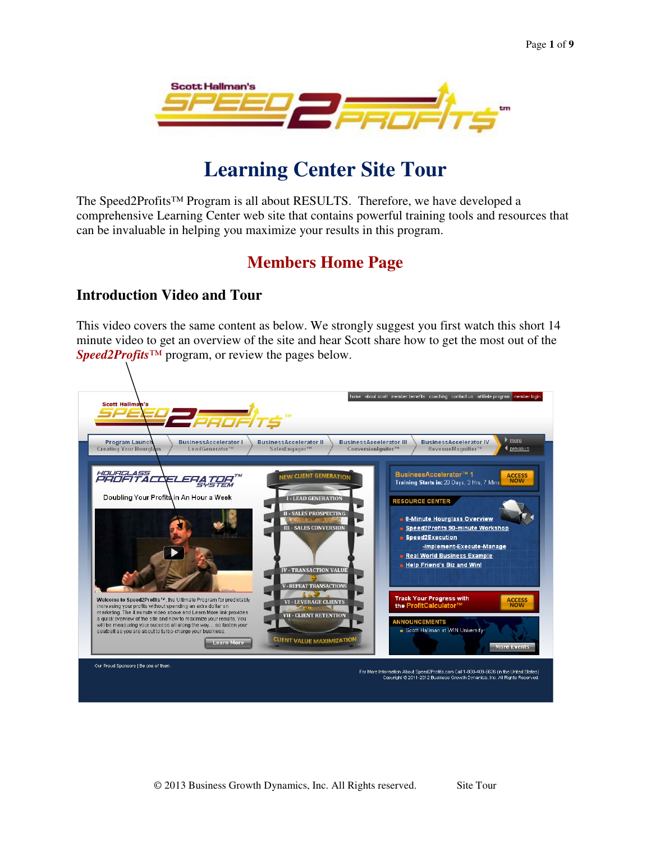

# **Learning Center Site Tour**

The Speed2Profits™ Program is all about RESULTS. Therefore, we have developed a comprehensive Learning Center web site that contains powerful training tools and resources that can be invaluable in helping you maximize your results in this program.

## **Members Home Page**

#### **Introduction Video and Tour**

This video covers the same content as below. We strongly suggest you first watch this short 14 minute video to get an overview of the site and hear Scott share how to get the most out of the *Speed2Profits™* program, or review the pages below.

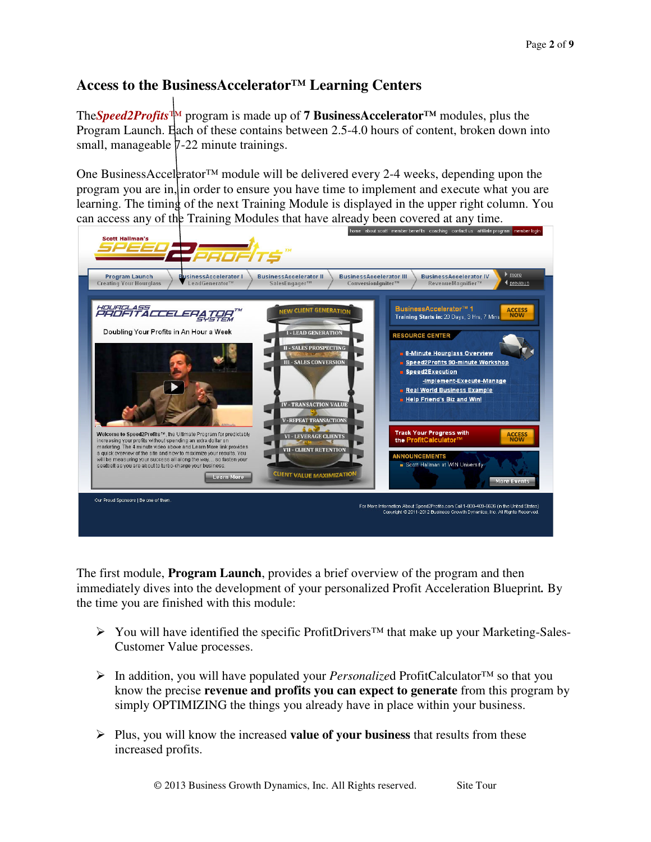#### **Access to the BusinessAccelerator™ Learning Centers**

The*Speed2Profits™* program is made up of **7 BusinessAccelerator™** modules, plus the Program Launch. Each of these contains between 2.5-4.0 hours of content, broken down into small, manageable  $7-22$  minute trainings.

One BusinessAccelerator<sup>™</sup> module will be delivered every 2-4 weeks, depending upon the program you are in, in order to ensure you have time to implement and execute what you are learning. The timing of the next Training Module is displayed in the upper right column. You can access any of the Training Modules that have already been covered at any time.



The first module, **Program Launch**, provides a brief overview of the program and then immediately dives into the development of your personalized Profit Acceleration Blueprint*.* By the time you are finished with this module:

- You will have identified the specific ProfitDrivers™ that make up your Marketing-Sales-Customer Value processes.
- In addition, you will have populated your *Personalize*d ProfitCalculator™ so that you know the precise **revenue and profits you can expect to generate** from this program by simply OPTIMIZING the things you already have in place within your business.
- Plus, you will know the increased **value of your business** that results from these increased profits.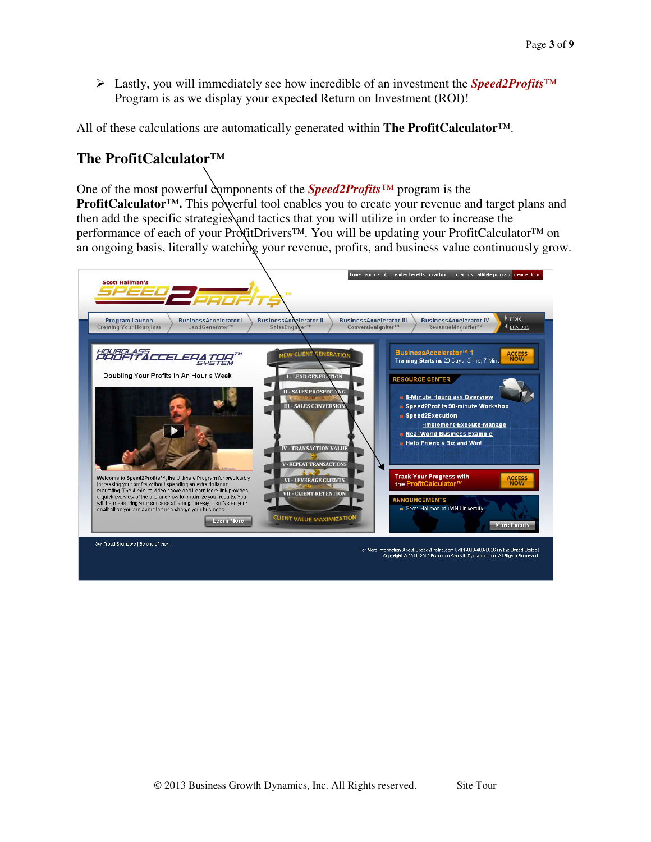Lastly, you will immediately see how incredible of an investment the *Speed2Profits™* Program is as we display your expected Return on Investment (ROI)!

All of these calculations are automatically generated within **The ProfitCalculator™**.

#### **The ProfitCalculator™**

One of the most powerful components of the *Speed2Profits™* program is the **ProfitCalculator™.** This powerful tool enables you to create your revenue and target plans and then add the specific strategies and tactics that you will utilize in order to increase the performance of each of your ProfitDrivers™. You will be updating your ProfitCalculator**™** on an ongoing basis, literally watching your revenue, profits, and business value continuously grow.

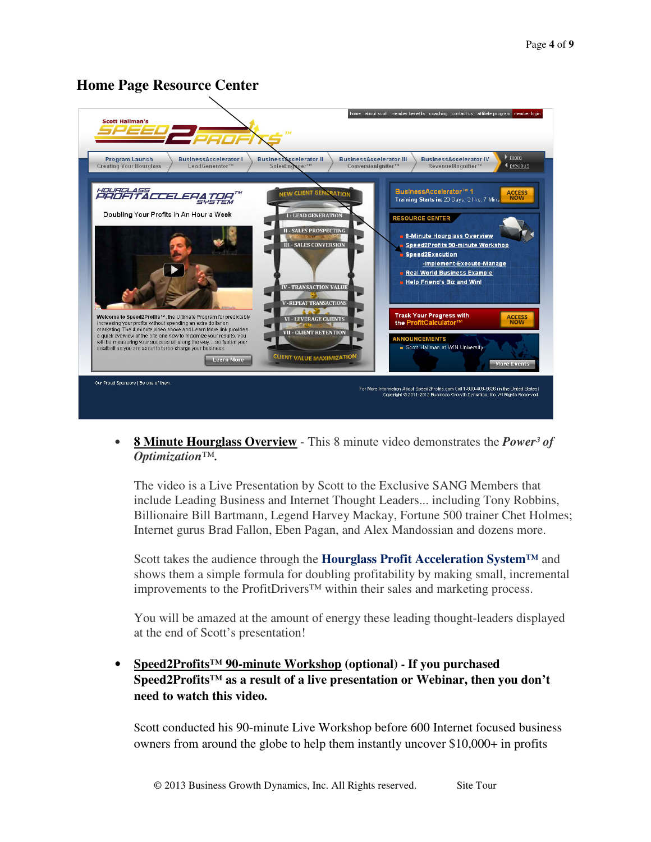#### **Home Page Resource Center**



• **8 Minute Hourglass Overview** - This 8 minute video demonstrates the *Power³ of Optimization™.* 

The video is a Live Presentation by Scott to the Exclusive SANG Members that include Leading Business and Internet Thought Leaders... including Tony Robbins, Billionaire Bill Bartmann, Legend Harvey Mackay, Fortune 500 trainer Chet Holmes; Internet gurus Brad Fallon, Eben Pagan, and Alex Mandossian and dozens more.

Scott takes the audience through the **Hourglass Profit Acceleration System™** and shows them a simple formula for doubling profitability by making small, incremental improvements to the ProfitDrivers™ within their sales and marketing process.

You will be amazed at the amount of energy these leading thought-leaders displayed at the end of Scott's presentation!

• **Speed2Profits™ 90-minute Workshop (optional) - If you purchased Speed2Profits™ as a result of a live presentation or Webinar, then you don't need to watch this video.** 

Scott conducted his 90-minute Live Workshop before 600 Internet focused business owners from around the globe to help them instantly uncover \$10,000+ in profits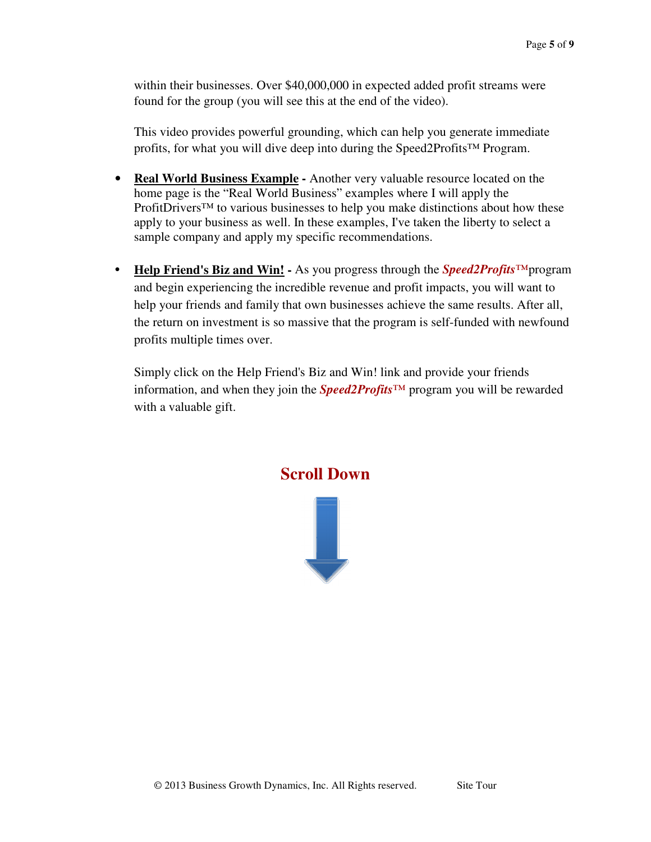within their businesses. Over \$40,000,000 in expected added profit streams were found for the group (you will see this at the end of the video).

This video provides powerful grounding, which can help you generate immediate profits, for what you will dive deep into during the Speed2Profits™ Program.

- **Real World Business Example -** Another very valuable resource located on the home page is the "Real World Business" examples where I will apply the ProfitDrivers<sup>™</sup> to various businesses to help you make distinctions about how these apply to your business as well. In these examples, I've taken the liberty to select a sample company and apply my specific recommendations.
- **Help Friend's Biz and Win! -** As you progress through the *Speed2Profits™*program and begin experiencing the incredible revenue and profit impacts, you will want to help your friends and family that own businesses achieve the same results. After all, the return on investment is so massive that the program is self-funded with newfound profits multiple times over.

Simply click on the Help Friend's Biz and Win! link and provide your friends information, and when they join the *Speed2Profits™* program you will be rewarded with a valuable gift.



 $\frac{1}{\sqrt{2}}$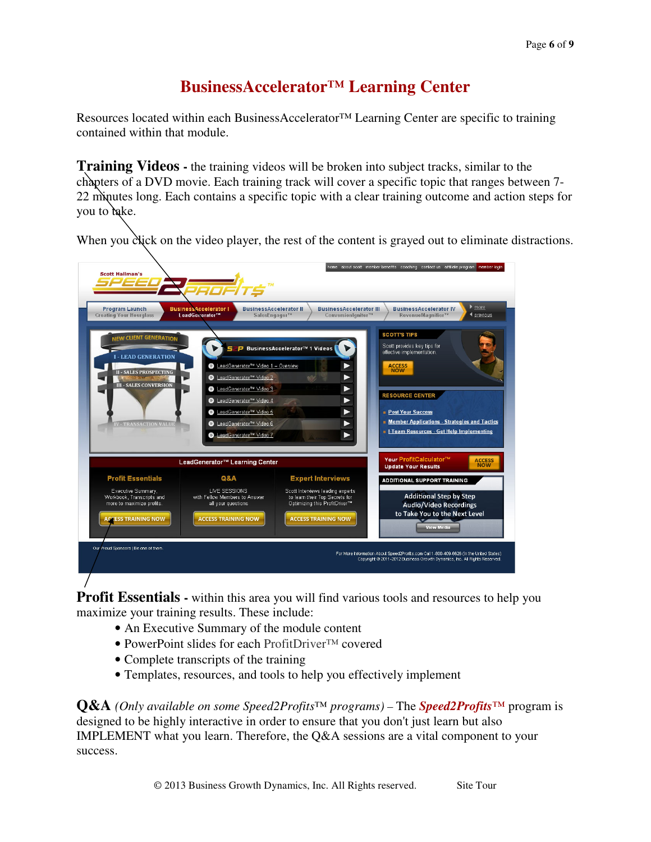## **BusinessAccelerator™ Learning Center**

Resources located within each BusinessAccelerator™ Learning Center are specific to training contained within that module.

**Training Videos** - the training videos will be broken into subject tracks, similar to the chapters of a DVD movie. Each training track will cover a specific topic that ranges between 7- 22 minutes long. Each contains a specific topic with a clear training outcome and action steps for you to take.

When you click on the video player, the rest of the content is grayed out to eliminate distractions.



**Profit Essentials -** within this area you will find various tools and resources to help you maximize your training results. These include:

- An Executive Summary of the module content
- PowerPoint slides for each ProfitDriver™ covered
- Complete transcripts of the training
- Templates, resources, and tools to help you effectively implement

**Q&A** *(Only available on some Speed2Profits™ programs) –* The *Speed2Profits™* program is designed to be highly interactive in order to ensure that you don't just learn but also IMPLEMENT what you learn. Therefore, the Q&A sessions are a vital component to your success.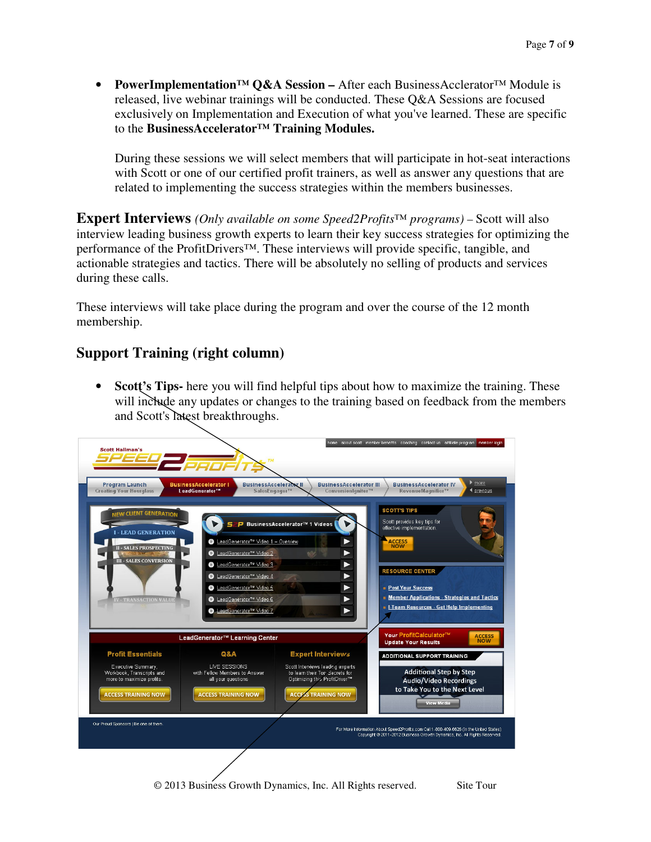• **PowerImplementation™ Q&A Session –** After each BusinessAcclerator™ Module is released, live webinar trainings will be conducted. These Q&A Sessions are focused exclusively on Implementation and Execution of what you've learned. These are specific to the **BusinessAccelerator™ Training Modules.** 

During these sessions we will select members that will participate in hot-seat interactions with Scott or one of our certified profit trainers, as well as answer any questions that are related to implementing the success strategies within the members businesses.

**Expert Interviews** *(Only available on some Speed2Profits™ programs)* – Scott will also interview leading business growth experts to learn their key success strategies for optimizing the performance of the ProfitDrivers™. These interviews will provide specific, tangible, and actionable strategies and tactics. There will be absolutely no selling of products and services during these calls.

These interviews will take place during the program and over the course of the 12 month membership.

### **Support Training (right column)**

• **Scott's Tips-** here you will find helpful tips about how to maximize the training. These will include any updates or changes to the training based on feedback from the members and Scott's latest breakthroughs.

| <b>Program Launch</b><br><b>Creating Your Hourglass</b>                                                    | <b>BusinessAccelerator I</b><br>LeadGenerator™                                                     | <b>BusinessAccelerator II</b><br>SalesEngager™                             | <b>BusinessAccelerator III</b><br>Conversionlaniter™                                                                              | <b>BusinessAccelerator IV</b><br>RevenueMagnifier™                                                  | $\triangleright$ more<br>◀ previous |
|------------------------------------------------------------------------------------------------------------|----------------------------------------------------------------------------------------------------|----------------------------------------------------------------------------|-----------------------------------------------------------------------------------------------------------------------------------|-----------------------------------------------------------------------------------------------------|-------------------------------------|
| <b>NEW CLIENT GENERATION</b><br>- LEAD GENERATION                                                          |                                                                                                    | <b>SP</b> BusinessAccelerator™ 1 Videos                                    |                                                                                                                                   | <b>SCOTT'S TIPS</b><br>Scott provides key tips for<br>effective implementation.                     |                                     |
| <b>II - SALES PROSPECTING</b><br><b>MODE MODEL</b><br><b>III - SALES CONVERSION</b>                        | © LeadGenerator™ Video 2<br>LeadGenerator <sup>TM</sup> Video 3                                    | ■ LeadGenerator™ Video 1 - Overview                                        | viir)<br>►<br>$\blacktriangleright$                                                                                               | <b>ACCESS</b><br><b>NOW</b>                                                                         |                                     |
|                                                                                                            |                                                                                                    | LeadGenerator <sup>TM</sup> Video 4<br>LeadGenerator <sup>TM</sup> Video 5 |                                                                                                                                   | <b>RESOURCE CENTER</b><br><b>Post Your Success</b>                                                  |                                     |
| <b>IV - TRANSACTION VALUE</b>                                                                              |                                                                                                    | LeadGenerator <sup>TM</sup> Video 6<br>LeadGenerator <sup>TM</sup> Video Z | ▶                                                                                                                                 | • Member Applications - Strategies and Tactics<br><b>E I-Team Resources - Get Help Implementing</b> |                                     |
| LeadGenerator™ Learning Center                                                                             |                                                                                                    |                                                                            |                                                                                                                                   | Your ProfitCalculator™<br><b>Update Your Results</b>                                                | <b>ACCESS</b><br><b>NOW</b>         |
| <b>Profit Essentials</b>                                                                                   | <b>Q&amp;A</b>                                                                                     |                                                                            | <b>Expert Interviews</b>                                                                                                          | <b>ADDITIONAL SUPPORT TRAINING</b>                                                                  |                                     |
| Executive Summary,<br>Workbook, Transcripts and<br>more to maximize profits.<br><b>ACCESS TRAINING NOW</b> | LIVE SESSIONS<br>with Fellow Members to Answer<br>all your questions<br><b>ACCESS TRAINING NOW</b> |                                                                            | Scott Interviews leading experts<br>to learn their Top Secrets for<br>Optimizing this ProfitDriver™<br><b>ACCESS TRAINING NOW</b> | <b>Additional Step by Step</b><br><b>Audio/Video Recordings</b><br>to Take You to the Next Level    |                                     |
|                                                                                                            |                                                                                                    |                                                                            |                                                                                                                                   | <b>View Media</b>                                                                                   |                                     |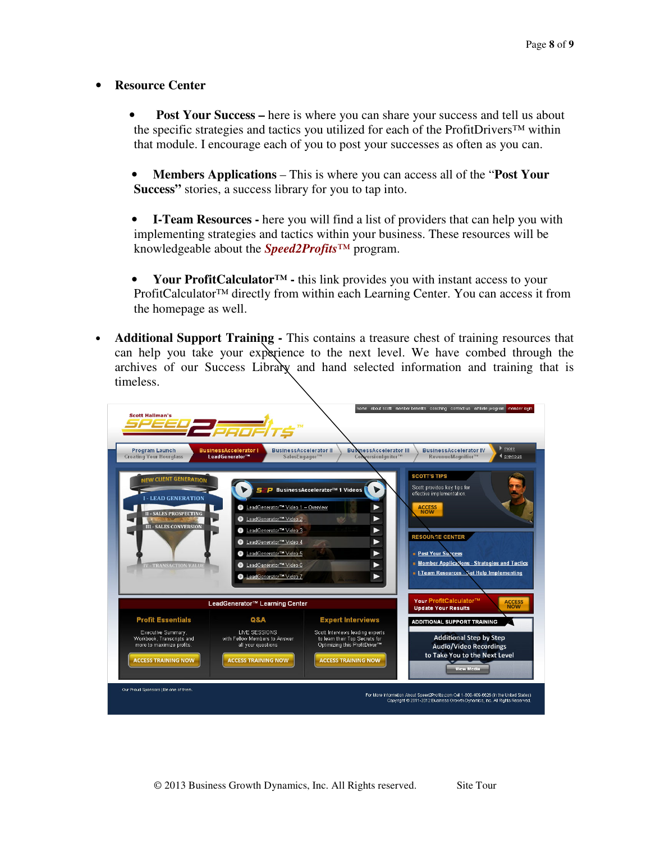#### • **Resource Center**

- **Post Your Success** here is where you can share your success and tell us about the specific strategies and tactics you utilized for each of the ProfitDrivers™ within that module. I encourage each of you to post your successes as often as you can.
- **Members Applications**  This is where you can access all of the "**Post Your Success"** stories, a success library for you to tap into.
- **I-Team Resources** here you will find a list of providers that can help you with implementing strategies and tactics within your business. These resources will be knowledgeable about the *Speed2Profits™* program.
- **Your ProfitCalculator™ -** this link provides you with instant access to your ProfitCalculator™ directly from within each Learning Center. You can access it from the homepage as well.
- **Additional Support Training** This contains a treasure chest of training resources that can help you take your experience to the next level. We have combed through the archives of our Success Library and hand selected information and training that is timeless.